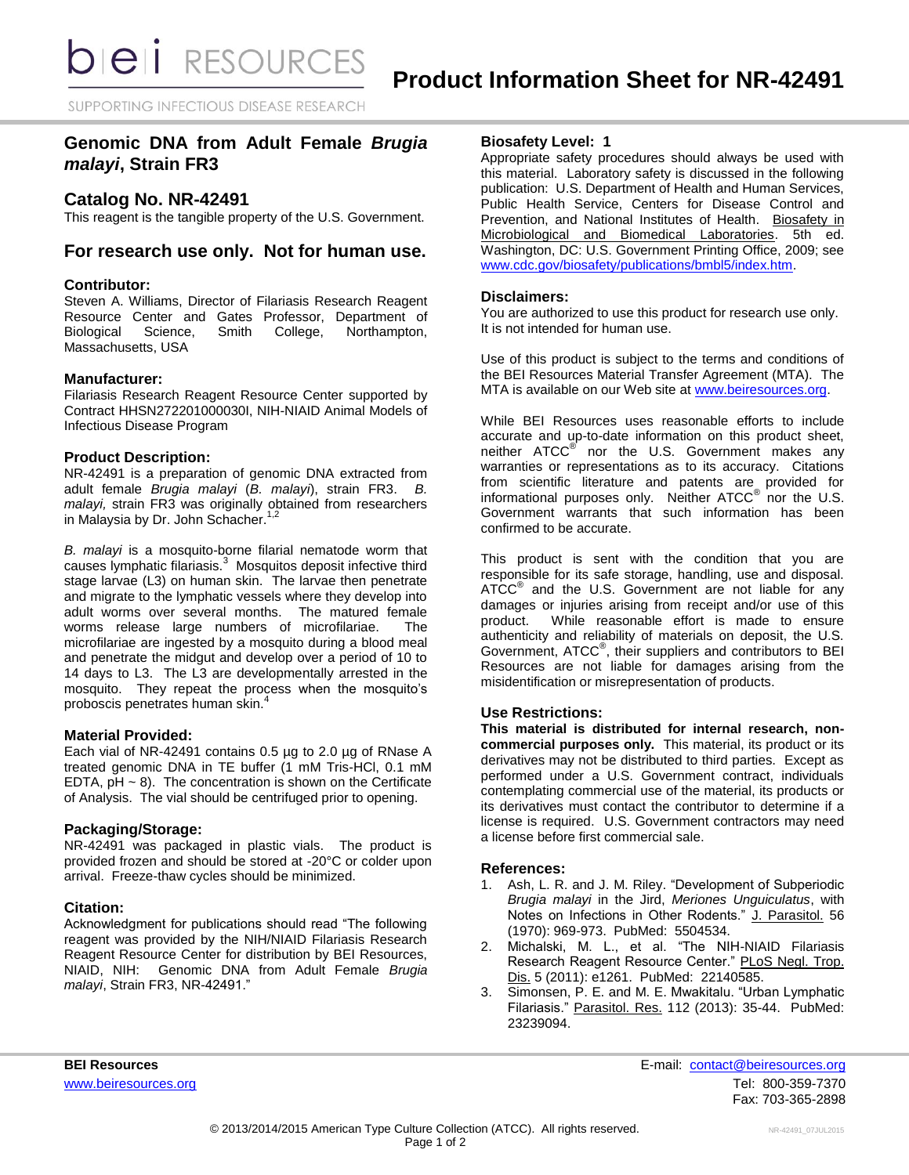SUPPORTING INFECTIOUS DISEASE RESEARCH

# **Genomic DNA from Adult Female** *Brugia malayi***, Strain FR3**

## **Catalog No. NR-42491**

This reagent is the tangible property of the U.S. Government.

## **For research use only. Not for human use.**

#### **Contributor:**

Steven A. Williams, Director of Filariasis Research Reagent Resource Center and Gates Professor, Department of Biological Science, Smith College, Northampton, Massachusetts, USA

## **Manufacturer:**

Filariasis Research Reagent Resource Center supported by Contract HHSN272201000030I, NIH-NIAID Animal Models of Infectious Disease Program

## **Product Description:**

NR-42491 is a preparation of genomic DNA extracted from adult female *Brugia malayi* (*B. malayi*), strain FR3. *B. malayi,* strain FR3 was originally obtained from researchers in Malaysia by Dr. John Schacher.<sup>1,2</sup>

*B. malayi* is a mosquito-borne filarial nematode worm that causes lymphatic filariasis.<sup>3</sup> Mosquitos deposit infective third stage larvae (L3) on human skin. The larvae then penetrate and migrate to the lymphatic vessels where they develop into adult worms over several months. The matured female worms release large numbers of microfilariae. The microfilariae are ingested by a mosquito during a blood meal and penetrate the midgut and develop over a period of 10 to 14 days to L3. The L3 are developmentally arrested in the mosquito. They repeat the process when the mosquito's proboscis penetrates human skin.<sup>4</sup>

#### **Material Provided:**

Each vial of NR-42491 contains 0.5 µg to 2.0 µg of RNase A treated genomic DNA in TE buffer (1 mM Tris-HCl, 0.1 mM EDTA,  $pH \sim 8$ ). The concentration is shown on the Certificate of Analysis. The vial should be centrifuged prior to opening.

#### **Packaging/Storage:**

NR-42491 was packaged in plastic vials. The product is provided frozen and should be stored at -20°C or colder upon arrival. Freeze-thaw cycles should be minimized.

## **Citation:**

Acknowledgment for publications should read "The following reagent was provided by the NIH/NIAID Filariasis Research Reagent Resource Center for distribution by BEI Resources, NIAID, NIH: Genomic DNA from Adult Female *Brugia malayi*, Strain FR3, NR-42491."

#### **Biosafety Level: 1**

Appropriate safety procedures should always be used with this material. Laboratory safety is discussed in the following publication: U.S. Department of Health and Human Services, Public Health Service, Centers for Disease Control and Prevention, and National Institutes of Health. Biosafety in Microbiological and Biomedical Laboratories. 5th ed. Washington, DC: U.S. Government Printing Office, 2009; see [www.cdc.gov/biosafety/publications/bmbl5/index.htm.](http://www.cdc.gov/biosafety/publications/bmbl5/index.htm)

## **Disclaimers:**

You are authorized to use this product for research use only. It is not intended for human use.

Use of this product is subject to the terms and conditions of the BEI Resources Material Transfer Agreement (MTA). The MTA is available on our Web site at [www.beiresources.org.](http://www.beiresources.org/)

While BEI Resources uses reasonable efforts to include accurate and up-to-date information on this product sheet, neither ATCC<sup>®</sup> nor the U.S. Government makes any warranties or representations as to its accuracy. Citations from scientific literature and patents are provided for informational purposes only. Neither  $\tt ATCC^@$  nor the U.S. Government warrants that such information has been confirmed to be accurate.

This product is sent with the condition that you are responsible for its safe storage, handling, use and disposal. ATCC<sup>®</sup> and the U.S. Government are not liable for any damages or injuries arising from receipt and/or use of this product. While reasonable effort is made to ensure While reasonable effort is made to ensure authenticity and reliability of materials on deposit, the U.S. Government, ATCC® , their suppliers and contributors to BEI Resources are not liable for damages arising from the misidentification or misrepresentation of products.

## **Use Restrictions:**

**This material is distributed for internal research, noncommercial purposes only.** This material, its product or its derivatives may not be distributed to third parties. Except as performed under a U.S. Government contract, individuals contemplating commercial use of the material, its products or its derivatives must contact the contributor to determine if a license is required. U.S. Government contractors may need a license before first commercial sale.

#### **References:**

- 1. Ash, L. R. and J. M. Riley. "Development of Subperiodic *Brugia malayi* in the Jird, *Meriones Unguiculatus*, with Notes on Infections in Other Rodents." J. Parasitol. 56 (1970): 969-973. PubMed: 5504534.
- 2. Michalski, M. L., et al. "The NIH-NIAID Filariasis Research Reagent Resource Center." PLoS Negl. Trop. Dis. 5 (2011): e1261. PubMed: 22140585.
- 3. Simonsen, P. E. and M. E. Mwakitalu. "Urban Lymphatic Filariasis." Parasitol. Res. 112 (2013): 35-44. PubMed: 23239094.

**BEI Resources** E-mail: [contact@beiresources.org](mailto:contact@beiresources.org) [www.beiresources.org](http://www.beiresources.org/)Tel: 800-359-7370 Fax: 703-365-2898